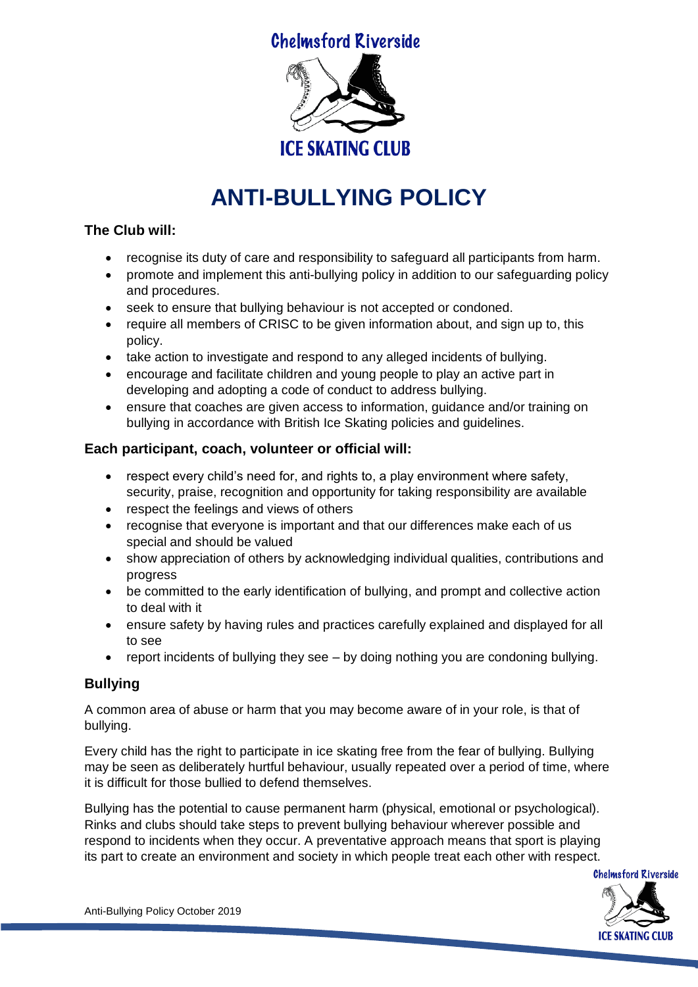**Chelmsford Riverside** 



# **ANTI-BULLYING POLICY**

### **The Club will:**

- recognise its duty of care and responsibility to safeguard all participants from harm.
- promote and implement this anti-bullying policy in addition to our safeguarding policy and procedures.
- seek to ensure that bullying behaviour is not accepted or condoned.
- require all members of CRISC to be given information about, and sign up to, this policy.
- take action to investigate and respond to any alleged incidents of bullying.
- encourage and facilitate children and young people to play an active part in developing and adopting a code of conduct to address bullying.
- ensure that coaches are given access to information, guidance and/or training on bullying in accordance with British Ice Skating policies and guidelines.

## **Each participant, coach, volunteer or official will:**

- respect every child's need for, and rights to, a play environment where safety, security, praise, recognition and opportunity for taking responsibility are available
- respect the feelings and views of others
- recognise that everyone is important and that our differences make each of us special and should be valued
- show appreciation of others by acknowledging individual qualities, contributions and progress
- be committed to the early identification of bullying, and prompt and collective action to deal with it
- ensure safety by having rules and practices carefully explained and displayed for all to see
- report incidents of bullying they see by doing nothing you are condoning bullying.

# **Bullying**

A common area of abuse or harm that you may become aware of in your role, is that of bullying.

Every child has the right to participate in ice skating free from the fear of bullying. Bullying may be seen as deliberately hurtful behaviour, usually repeated over a period of time, where it is difficult for those bullied to defend themselves.

Bullying has the potential to cause permanent harm (physical, emotional or psychological). Rinks and clubs should take steps to prevent bullying behaviour wherever possible and respond to incidents when they occur. A preventative approach means that sport is playing its part to create an environment and society in which people treat each other with respect.



Anti-Bullying Policy October 2019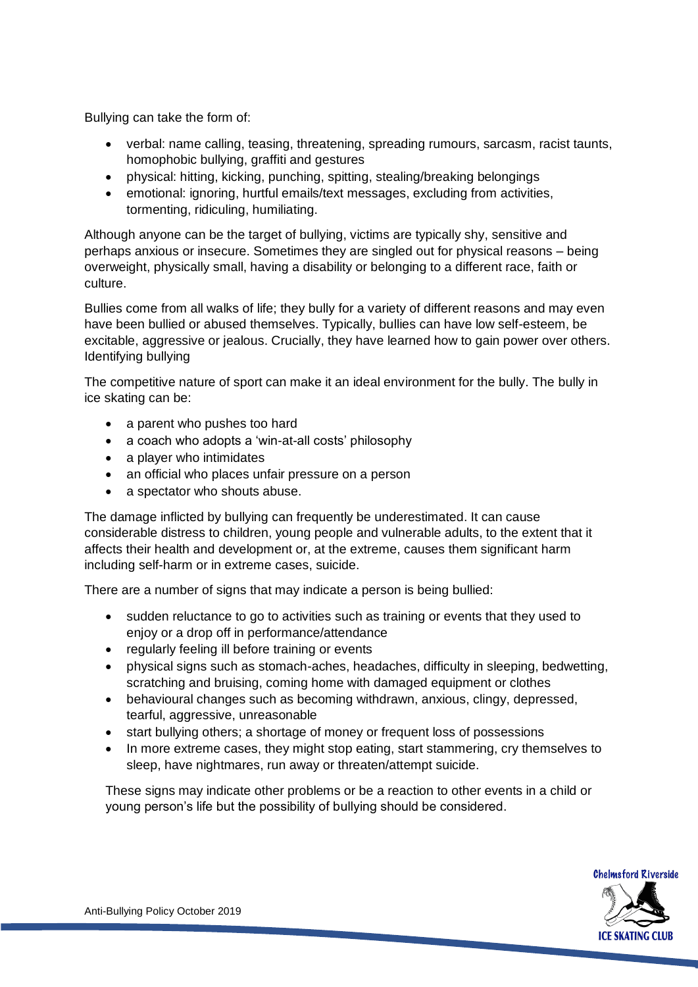Bullying can take the form of:

- verbal: name calling, teasing, threatening, spreading rumours, sarcasm, racist taunts, homophobic bullying, graffiti and gestures
- physical: hitting, kicking, punching, spitting, stealing/breaking belongings
- emotional: ignoring, hurtful emails/text messages, excluding from activities, tormenting, ridiculing, humiliating.

Although anyone can be the target of bullying, victims are typically shy, sensitive and perhaps anxious or insecure. Sometimes they are singled out for physical reasons – being overweight, physically small, having a disability or belonging to a different race, faith or culture.

Bullies come from all walks of life; they bully for a variety of different reasons and may even have been bullied or abused themselves. Typically, bullies can have low self-esteem, be excitable, aggressive or jealous. Crucially, they have learned how to gain power over others. Identifying bullying

The competitive nature of sport can make it an ideal environment for the bully. The bully in ice skating can be:

- a parent who pushes too hard
- a coach who adopts a 'win-at-all costs' philosophy
- a player who intimidates
- an official who places unfair pressure on a person
- a spectator who shouts abuse.

The damage inflicted by bullying can frequently be underestimated. It can cause considerable distress to children, young people and vulnerable adults, to the extent that it affects their health and development or, at the extreme, causes them significant harm including self-harm or in extreme cases, suicide.

There are a number of signs that may indicate a person is being bullied:

- sudden reluctance to go to activities such as training or events that they used to enjoy or a drop off in performance/attendance
- regularly feeling ill before training or events
- physical signs such as stomach-aches, headaches, difficulty in sleeping, bedwetting, scratching and bruising, coming home with damaged equipment or clothes
- behavioural changes such as becoming withdrawn, anxious, clingy, depressed, tearful, aggressive, unreasonable
- start bullying others; a shortage of money or frequent loss of possessions
- In more extreme cases, they might stop eating, start stammering, cry themselves to sleep, have nightmares, run away or threaten/attempt suicide.

These signs may indicate other problems or be a reaction to other events in a child or young person's life but the possibility of bullying should be considered.

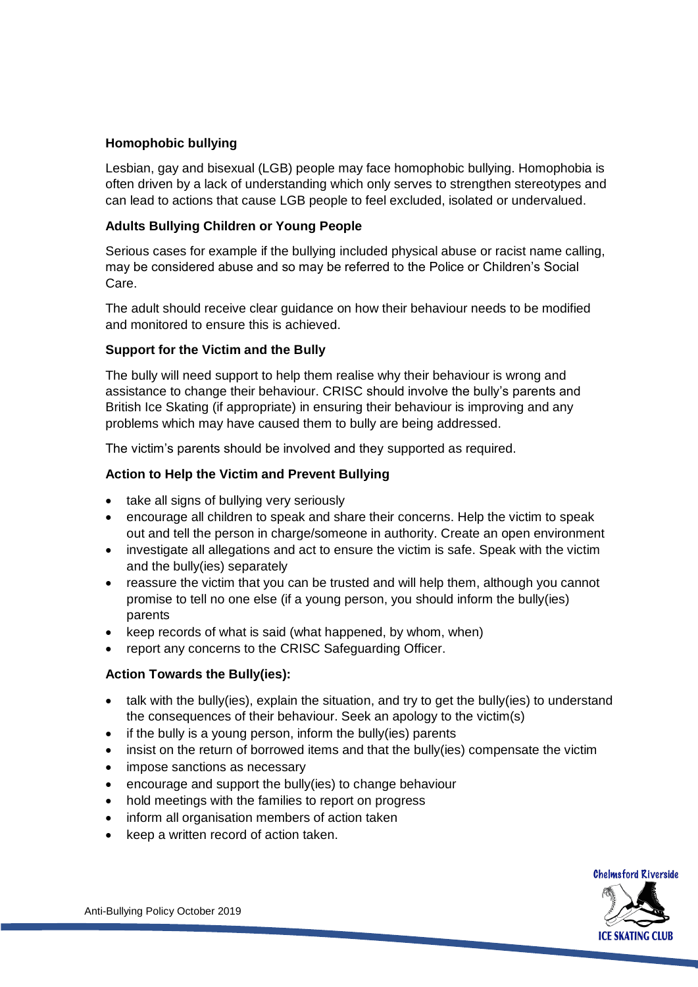#### **Homophobic bullying**

Lesbian, gay and bisexual (LGB) people may face homophobic bullying. Homophobia is often driven by a lack of understanding which only serves to strengthen stereotypes and can lead to actions that cause LGB people to feel excluded, isolated or undervalued.

#### **Adults Bullying Children or Young People**

Serious cases for example if the bullying included physical abuse or racist name calling, may be considered abuse and so may be referred to the Police or Children's Social Care.

The adult should receive clear guidance on how their behaviour needs to be modified and monitored to ensure this is achieved.

#### **Support for the Victim and the Bully**

The bully will need support to help them realise why their behaviour is wrong and assistance to change their behaviour. CRISC should involve the bully's parents and British Ice Skating (if appropriate) in ensuring their behaviour is improving and any problems which may have caused them to bully are being addressed.

The victim's parents should be involved and they supported as required.

#### **Action to Help the Victim and Prevent Bullying**

- take all signs of bullying very seriously
- encourage all children to speak and share their concerns. Help the victim to speak out and tell the person in charge/someone in authority. Create an open environment
- investigate all allegations and act to ensure the victim is safe. Speak with the victim and the bully(ies) separately
- reassure the victim that you can be trusted and will help them, although you cannot promise to tell no one else (if a young person, you should inform the bully(ies) parents
- keep records of what is said (what happened, by whom, when)
- report any concerns to the CRISC Safeguarding Officer.

#### **Action Towards the Bully(ies):**

- talk with the bully(ies), explain the situation, and try to get the bully(ies) to understand the consequences of their behaviour. Seek an apology to the victim(s)
- if the bully is a young person, inform the bully(ies) parents
- insist on the return of borrowed items and that the bully(ies) compensate the victim
- impose sanctions as necessary
- encourage and support the bully(ies) to change behaviour
- hold meetings with the families to report on progress
- inform all organisation members of action taken
- keep a written record of action taken.



Anti-Bullying Policy October 2019